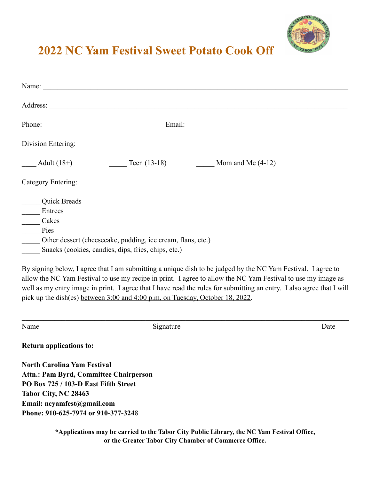

## **2022 NC Yam Festival Sweet Potato Cook Off**

| Name:                                         |                                                             |                                                                                                                       |
|-----------------------------------------------|-------------------------------------------------------------|-----------------------------------------------------------------------------------------------------------------------|
|                                               |                                                             |                                                                                                                       |
| Phone:                                        |                                                             |                                                                                                                       |
| Division Entering:                            |                                                             |                                                                                                                       |
| $\frac{\phantom{+}}{\phantom{+}}$ Adult (18+) |                                                             | Teen $(13-18)$ Mom and Me $(4-12)$                                                                                    |
| Category Entering:                            |                                                             |                                                                                                                       |
| Quick Breads                                  |                                                             |                                                                                                                       |
| Entrees                                       |                                                             |                                                                                                                       |
| Cakes                                         |                                                             |                                                                                                                       |
| Pies                                          |                                                             |                                                                                                                       |
|                                               | Other dessert (cheesecake, pudding, ice cream, flans, etc.) |                                                                                                                       |
|                                               | Snacks (cookies, candies, dips, fries, chips, etc.)         |                                                                                                                       |
|                                               |                                                             | By signing below, I agree that I am submitting a unique dish to be judged by the NC Yam Festival. I agree to          |
|                                               |                                                             | allow the NC Yam Festival to use my recipe in print. I agree to allow the NC Yam Festival to use my image as          |
|                                               |                                                             | well as my entry image in print. I agree that I have read the rules for submitting an entry. I also agree that I will |
|                                               |                                                             |                                                                                                                       |

| Name                                          | Signature | Date |
|-----------------------------------------------|-----------|------|
| <b>Return applications to:</b>                |           |      |
| <b>North Carolina Yam Festival</b>            |           |      |
| <b>Attn.: Pam Byrd, Committee Chairperson</b> |           |      |
| PO Box 725 / 103-D East Fifth Street          |           |      |
| Tabor City, NC 28463                          |           |      |
| Email: $ncyamfest@gmail.com$                  |           |      |
| Phone: 910-625-7974 or 910-377-3248           |           |      |

pick up the dish(es) between 3:00 and 4:00 p.m, on Tuesday, October 18, 2022.

**\*Applications may be carried to the Tabor City Public Library, the NC Yam Festival Office, or the Greater Tabor City Chamber of Commerce Office.**